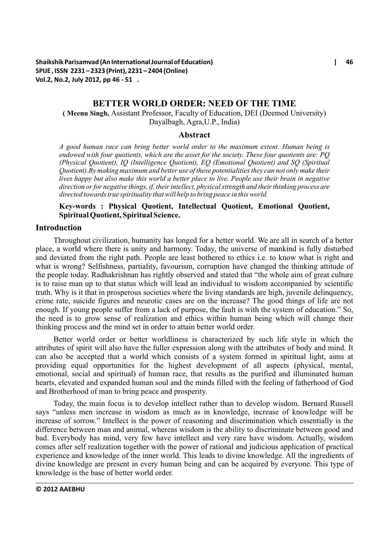# **BETTER WORLD ORDER: NEED OF THE TIME**

**( Meenu Singh,** Assistant Professor, Faculty of Education, DEI (Deemed University) Dayalbagh, Agra,U.P., India)

### **Abstract**

*A good human race can bring better world order to the maximum extent. Human being is endowed with four quotients, which are the asset for the society. These four quotients are: PQ (Physical Quotient), IQ (Intelligence Quotient), EQ (Emotional Quotient) and SQ (Spiritual Quotient).By making maximum and better use of these potentialities they can not only make their lives happy but also make this world a better place to live. People use their brain in negative direction or for negative things, if, their intellect, physical strength and their thinking process are directed towards true spirituality that will help to bring peace in this world.* 

## **Key-words : Physical Quotient, Intellectual Quotient, Emotional Quotient, Spiritual Quotient, Spiritual Science.**

# **Introduction**

Throughout civilization, humanity has longed for a better world. We are all in search of a better place, a world where there is unity and harmony. Today, the universe of mankind is fully disturbed and deviated from the right path. People are least bothered to ethics i.e. to know what is right and what is wrong? Selfishness, partiality, favourism, corruption have changed the thinking attitude of the people today. Radhakrishnan has rightly observed and stated that "the whole aim of great culture is to raise man up to that status which will lead an individual to wisdom accompanied by scientific truth. Why is it that in prosperous societies where the living standards are high, juvenile delinquency, crime rate, suicide figures and neurotic cases are on the increase? The good things of life are not enough. If young people suffer from a lack of purpose, the fault is with the system of education." So, the need is to grow sense of realization and ethics within human being which will change their thinking process and the mind set in order to attain better world order.

Better world order or better worldliness is characterized by such life style in which the attributes of spirit will also have the fuller expression along with the attributes of body and mind. It can also be accepted that a world which consists of a system formed in spiritual light, aims at providing equal opportunities for the highest development of all aspects (physical, mental, emotional, social and spiritual) of human race, that results as the purified and illuminated human hearts, elevated and expanded human soul and the minds filled with the feeling of fatherhood of God and Brotherhood of man to bring peace and prosperity.

Today, the main focus is to develop intellect rather than to develop wisdom. Bernard Russell says "unless men increase in wisdom as much as in knowledge, increase of knowledge will be increase of sorrow." Intellect is the power of reasoning and discrimination which essentially is the difference between man and animal, whereas wisdom is the ability to discriminate between good and bad. Everybody has mind, very few have intellect and very rare have wisdom. Actually, wisdom comes after self realization together with the power of rational and judicious application of practical experience and knowledge of the inner world. This leads to divine knowledge. All the ingredients of divine knowledge are present in every human being and can be acquired by everyone. This type of knowledge is the base of better world order.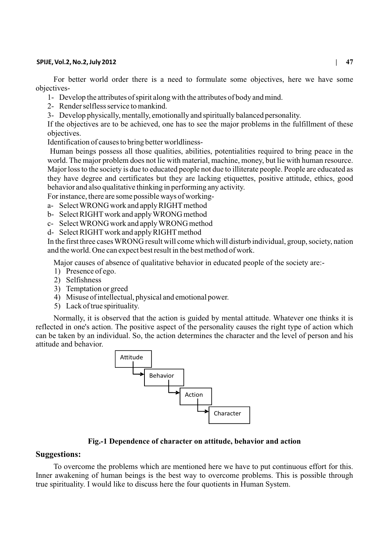### **SPIJE, Vol.2, No.2, July 2012 | 47**

For better world order there is a need to formulate some objectives, here we have some objectives-

- 1- Develop the attributes of spirit along with the attributes of body and mind.
- 2- Render selfless service to mankind.
- 3- Develop physically, mentally, emotionally and spiritually balanced personality.

If the objectives are to be achieved, one has to see the major problems in the fulfillment of these objectives.

Identification of causes to bring better worldliness-

Human beings possess all those qualities, abilities, potentialities required to bring peace in the world. The major problem does not lie with material, machine, money, but lie with human resource. Major loss to the society is due to educated people not due to illiterate people. People are educated as they have degree and certificates but they are lacking etiquettes, positive attitude, ethics, good behavior and also qualitative thinking in performing any activity.

For instance, there are some possible ways of working-

- a- Select WRONG work and apply RIGHT method
- b- Select RIGHTwork and apply WRONG method
- c- Select WRONG work and apply WRONG method
- d- Select RIGHTwork and apply RIGHTmethod

In the first three cases WRONG result will come which will disturb individual, group, society, nation and the world. One can expect best result in the best method of work.

Major causes of absence of qualitative behavior in educated people of the society are:-

- 1) Presence of ego.
- 2) Selfishness
- 3) Temptation or greed
- 4) Misuse of intellectual, physical and emotional power.
- 5) Lack of true spirituality.

Normally, it is observed that the action is guided by mental attitude. Whatever one thinks it is reflected in one's action. The positive aspect of the personality causes the right type of action which can be taken by an individual. So, the action determines the character and the level of person and his attitude and behavior.



### **Fig.-1 Dependence of character on attitude, behavior and action**

# **Suggestions:**

To overcome the problems which are mentioned here we have to put continuous effort for this. Inner awakening of human beings is the best way to overcome problems. This is possible through true spirituality. I would like to discuss here the four quotients in Human System.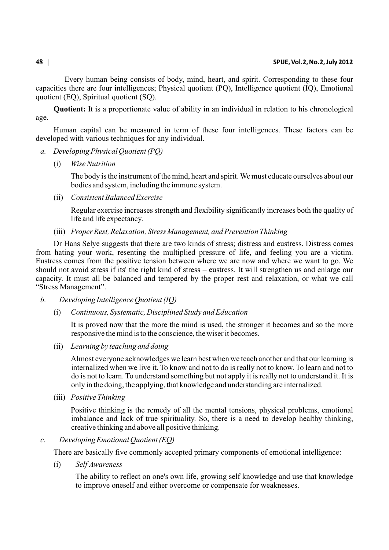Every human being consists of body, mind, heart, and spirit. Corresponding to these four capacities there are four intelligences; Physical quotient (PQ), Intelligence quotient (IQ), Emotional quotient (EQ), Spiritual quotient (SQ).

**Quotient:** It is a proportionate value of ability in an individual in relation to his chronological age.

Human capital can be measured in term of these four intelligences. These factors can be developed with various techniques for any individual.

- *a. Developing Physical Quotient (PQ)*
	- (i) *Wise Nutrition*

The body is the instrument of the mind, heart and spirit. We must educate ourselves about our bodies and system, including the immune system.

(ii) *Consistent Balanced Exercise*

Regular exercise increases strength and flexibility significantly increases both the quality of life and life expectancy.

(iii) *Proper Rest, Relaxation, Stress Management, and Prevention Thinking*

Dr Hans Selye suggests that there are two kinds of stress; distress and eustress. Distress comes from hating your work, resenting the multiplied pressure of life, and feeling you are a victim. Eustress comes from the positive tension between where we are now and where we want to go. We should not avoid stress if its' the right kind of stress – eustress. It will strengthen us and enlarge our capacity. It must all be balanced and tempered by the proper rest and relaxation, or what we call "Stress Management".

- *b. Developing Intelligence Quotient (IQ)*
	- (i) *Continuous, Systematic, Disciplined Study and Education*

It is proved now that the more the mind is used, the stronger it becomes and so the more responsive the mind is to the conscience, the wiser it becomes.

(ii) *Learning by teaching and doing*

Almost everyone acknowledges we learn best when we teach another and that our learning is internalized when we live it. To know and not to do is really not to know. To learn and not to do is not to learn. To understand something but not apply it is really not to understand it. It is only in the doing, the applying, that knowledge and understanding are internalized.

(iii) *Positive Thinking*

Positive thinking is the remedy of all the mental tensions, physical problems, emotional imbalance and lack of true spirituality. So, there is a need to develop healthy thinking, creative thinking and above all positive thinking.

*c. Developing Emotional Quotient (EQ)*

There are basically five commonly accepted primary components of emotional intelligence:

(i) *Self Awareness*

The ability to reflect on one's own life, growing self knowledge and use that knowledge to improve oneself and either overcome or compensate for weaknesses.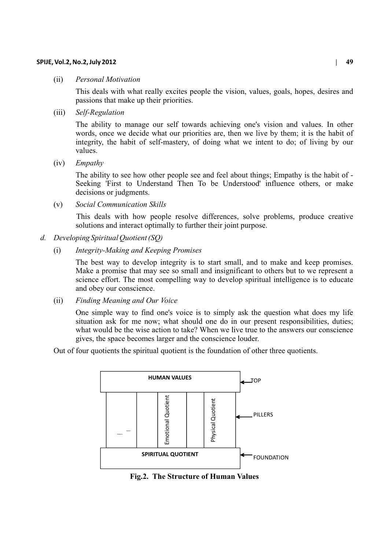### **SPIJE, Vol.2, No.2, July 2012 | 49**

### (ii) *Personal Motivation*

This deals with what really excites people the vision, values, goals, hopes, desires and passions that make up their priorities.

(iii) *Self-Regulation*

The ability to manage our self towards achieving one's vision and values. In other words, once we decide what our priorities are, then we live by them; it is the habit of integrity, the habit of self-mastery, of doing what we intent to do; of living by our values.

(iv) *Empathy* 

The ability to see how other people see and feel about things; Empathy is the habit of - Seeking 'First to Understand Then To be Understood' influence others, or make decisions or judgments.

(v) *Social Communication Skills*

This deals with how people resolve differences, solve problems, produce creative solutions and interact optimally to further their joint purpose.

- *d. Developing Spiritual Quotient (SQ)* 
	- (i) *Integrity-Making and Keeping Promises*

The best way to develop integrity is to start small, and to make and keep promises. Make a promise that may see so small and insignificant to others but to we represent a science effort. The most compelling way to develop spiritual intelligence is to educate and obey our conscience.

(ii) *Finding Meaning and Our Voice*

One simple way to find one's voice is to simply ask the question what does my life situation ask for me now; what should one do in our present responsibilities, duties; what would be the wise action to take? When we live true to the answers our conscience gives, the space becomes larger and the conscience louder.

Out of four quotients the spiritual quotient is the foundation of other three quotients.



**Fig.2. The Structure of Human Values**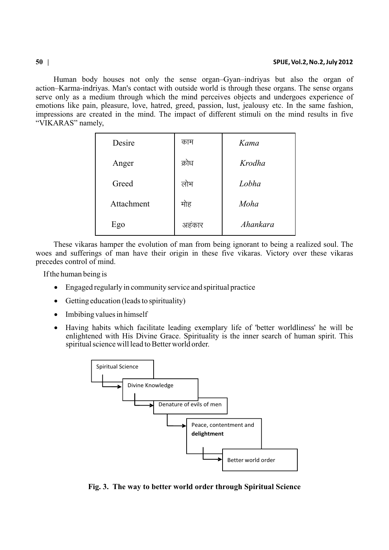Human body houses not only the sense organ–Gyan–indriyas but also the organ of action–Karma-indriyas. Man's contact with outside world is through these organs. The sense organs serve only as a medium through which the mind perceives objects and undergoes experience of emotions like pain, pleasure, love, hatred, greed, passion, lust, jealousy etc. In the same fashion, impressions are created in the mind. The impact of different stimuli on the mind results in five "VIKARAS" namely,

| Desire     | काम   | Kama     |
|------------|-------|----------|
| Anger      | क्रोध | Krodha   |
| Greed      | लोभ   | Lobha    |
| Attachment | मोह   | Moha     |
| Ego        | अहकार | Ahankara |

These vikaras hamper the evolution of man from being ignorant to being a realized soul. The woes and sufferings of man have their origin in these five vikaras. Victory over these vikaras precedes control of mind.

If the human being is

Engaged regularly in community service and spiritual practice

Getting education (leads to spirituality)

Imbibing values in himself

Having habits which facilitate leading exemplary life of 'better worldliness' he will be enlightened with His Divine Grace. Spirituality is the inner search of human spirit. This spiritual science will lead to Better world order.



**Fig. 3. The way to better world order through Spiritual Science**